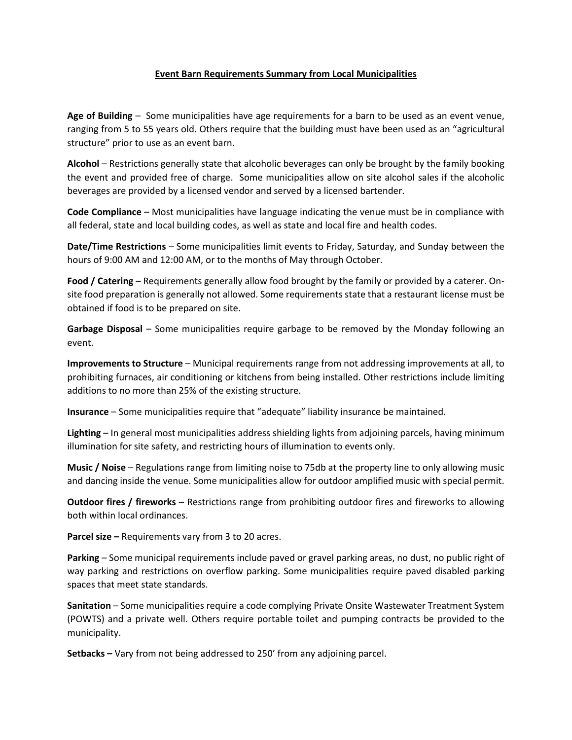## **Event Barn Requirements Summary from Local Municipalities**

**Age of Building** – Some municipalities have age requirements for a barn to be used as an event venue, ranging from 5 to 55 years old. Others require that the building must have been used as an "agricultural structure" prior to use as an event barn.

**Alcohol** – Restrictions generally state that alcoholic beverages can only be brought by the family booking the event and provided free of charge. Some municipalities allow on site alcohol sales if the alcoholic beverages are provided by a licensed vendor and served by a licensed bartender.

**Code Compliance** – Most municipalities have language indicating the venue must be in compliance with all federal, state and local building codes, as well as state and local fire and health codes.

**Date/Time Restrictions** – Some municipalities limit events to Friday, Saturday, and Sunday between the hours of 9:00 AM and 12:00 AM, or to the months of May through October.

**Food / Catering** – Requirements generally allow food brought by the family or provided by a caterer. Onsite food preparation is generally not allowed. Some requirements state that a restaurant license must be obtained if food is to be prepared on site.

**Garbage Disposal** – Some municipalities require garbage to be removed by the Monday following an event.

**Improvements to Structure** – Municipal requirements range from not addressing improvements at all, to prohibiting furnaces, air conditioning or kitchens from being installed. Other restrictions include limiting additions to no more than 25% of the existing structure.

**Insurance** – Some municipalities require that "adequate" liability insurance be maintained.

**Lighting** – In general most municipalities address shielding lights from adjoining parcels, having minimum illumination for site safety, and restricting hours of illumination to events only.

**Music / Noise** – Regulations range from limiting noise to 75db at the property line to only allowing music and dancing inside the venue. Some municipalities allow for outdoor amplified music with special permit.

**Outdoor fires / fireworks** – Restrictions range from prohibiting outdoor fires and fireworks to allowing both within local ordinances.

**Parcel size –** Requirements vary from 3 to 20 acres.

**Parking** – Some municipal requirements include paved or gravel parking areas, no dust, no public right of way parking and restrictions on overflow parking. Some municipalities require paved disabled parking spaces that meet state standards.

**Sanitation** – Some municipalities require a code complying Private Onsite Wastewater Treatment System (POWTS) and a private well. Others require portable toilet and pumping contracts be provided to the municipality.

**Setbacks –** Vary from not being addressed to 250' from any adjoining parcel.